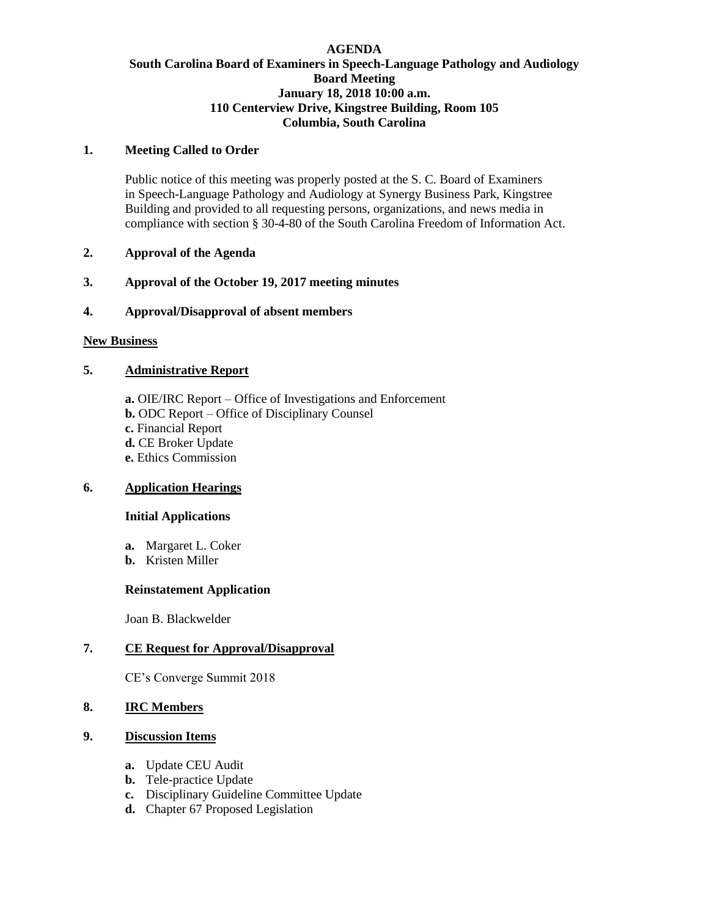## **AGENDA South Carolina Board of Examiners in Speech-Language Pathology and Audiology Board Meeting January 18, 2018 10:00 a.m. 110 Centerview Drive, Kingstree Building, Room 105 Columbia, South Carolina**

#### **1. Meeting Called to Order**

Public notice of this meeting was properly posted at the S. C. Board of Examiners in Speech-Language Pathology and Audiology at Synergy Business Park, Kingstree Building and provided to all requesting persons, organizations, and news media in compliance with section § 30-4-80 of the South Carolina Freedom of Information Act.

#### **2. Approval of the Agenda**

# **3. Approval of the October 19, 2017 meeting minutes**

# **4. Approval/Disapproval of absent members**

#### **New Business**

# **5. Administrative Report**

**a.** OIE/IRC Report – Office of Investigations and Enforcement **b.** ODC Report – Office of Disciplinary Counsel **c.** Financial Report **d.** CE Broker Update **e.** Ethics Commission

# **6. Application Hearings**

#### **Initial Applications**

- **a.** Margaret L. Coker
- **b.** Kristen Miller

#### **Reinstatement Application**

Joan B. Blackwelder

# **7. CE Request for Approval/Disapproval**

CE's Converge Summit 2018

# **8. IRC Members**

#### **9. Discussion Items**

- **a.** Update CEU Audit
- **b.** Tele-practice Update
- **c.** Disciplinary Guideline Committee Update
- **d.** Chapter 67 Proposed Legislation